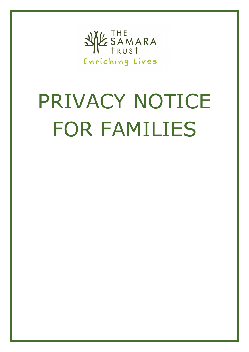

# PRIVACY NOTICE FOR FAMILIES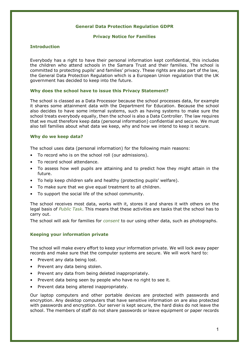# **General Data Protection Regulation GDPR**

#### **Privacy Notice for Families**

# **Introduction**

Everybody has a right to have their personal information kept confidential, this includes the children who attend schools in the Samara Trust and their families. The school is committed to protecting pupils' and families' privacy. These rights are also part of the law, the General Data Protection Regulation which is a European Union regulation that the UK government has decided to keep into the future.

#### **Why does the school have to issue this Privacy Statement?**

The school is classed as a Data Processor because the school processes data, for example it shares some attainment data with the Department for Education. Because the school also decides to have some internal systems, such as having systems to make sure the school treats everybody equally, then the school is also a Data Controller. The law requires that we must therefore keep data (personal information) confidential and secure. We must also tell families about what data we keep, why and how we intend to keep it secure.

# **Why do we keep data?**

The school uses data (personal information) for the following main reasons:

- To record who is on the school roll (our admissions).
- To record school attendance.
- To assess how well pupils are attaining and to predict how they might attain in the future.
- To help keep children safe and healthy (protecting pupils' welfare).
- To make sure that we give equal treatment to all children.
- To support the social life of the school community.

The school receives most data, works with it, stores it and shares it with others on the legal basis of *Public Task*. This means that these activities are tasks that the school has to carry out.

The school will ask for families for *consent* to our using other data, such as photographs.

# **Keeping your information private**

The school will make every effort to keep your information private. We will lock away paper records and make sure that the computer systems are secure. We will work hard to:

- Prevent any data being lost.
- Prevent any data being stolen.
- Prevent any data from being deleted inappropriately.
- Prevent data being seen by people who have no right to see it.
- Prevent data being altered inappropriately.

Our laptop computers and other portable devices are protected with passwords and encryption. Any desktop computers that have sensitive information on are also protected with passwords and encryption. Our server is kept secure, the hard disks do not leave the school. The members of staff do not share passwords or leave equipment or paper records